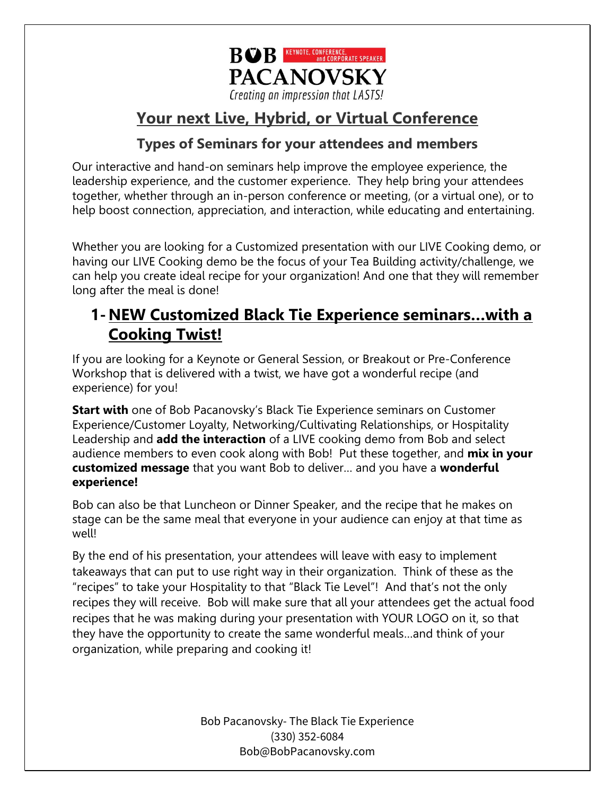

# **Your next Live, Hybrid, or Virtual Conference**

## **Types of Seminars for your attendees and members**

Our interactive and hand-on seminars help improve the employee experience, the leadership experience, and the customer experience. They help bring your attendees together, whether through an in-person conference or meeting, (or a virtual one), or to help boost connection, appreciation, and interaction, while educating and entertaining.

Whether you are looking for a Customized presentation with our LIVE Cooking demo, or having our LIVE Cooking demo be the focus of your Tea Building activity/challenge, we can help you create ideal recipe for your organization! And one that they will remember long after the meal is done!

## **1-NEW Customized Black Tie Experience seminars…with a Cooking Twist!**

If you are looking for a Keynote or General Session, or Breakout or Pre-Conference Workshop that is delivered with a twist, we have got a wonderful recipe (and experience) for you!

**Start with** one of Bob Pacanovsky's Black Tie Experience seminars on Customer Experience/Customer Loyalty, Networking/Cultivating Relationships, or Hospitality Leadership and **add the interaction** of a LIVE cooking demo from Bob and select audience members to even cook along with Bob! Put these together, and **mix in your customized message** that you want Bob to deliver… and you have a **wonderful experience!**

Bob can also be that Luncheon or Dinner Speaker, and the recipe that he makes on stage can be the same meal that everyone in your audience can enjoy at that time as well!

By the end of his presentation, your attendees will leave with easy to implement takeaways that can put to use right way in their organization. Think of these as the "recipes" to take your Hospitality to that "Black Tie Level"! And that's not the only recipes they will receive. Bob will make sure that all your attendees get the actual food recipes that he was making during your presentation with YOUR LOGO on it, so that they have the opportunity to create the same wonderful meals…and think of your organization, while preparing and cooking it!

> Bob Pacanovsky- The Black Tie Experience (330) 352-6084 Bob@BobPacanovsky.com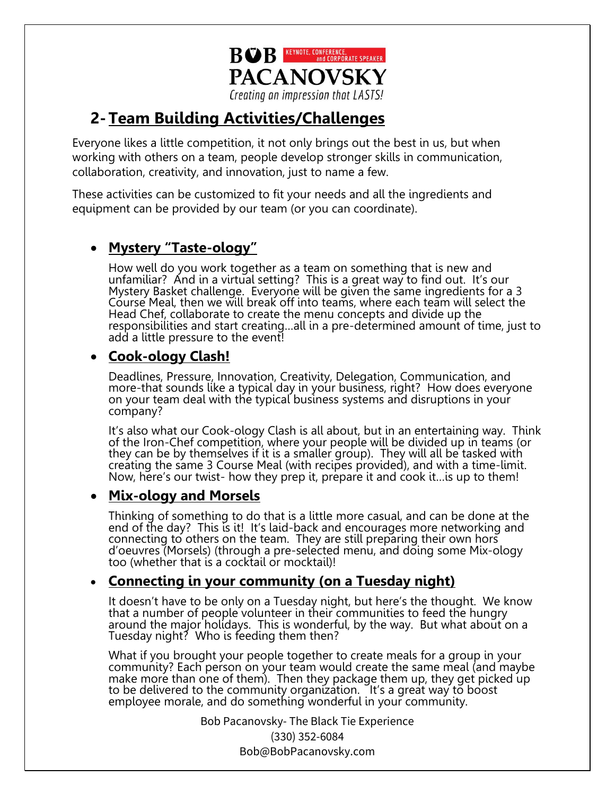

# **2-Team Building Activities/Challenges**

Everyone likes a little competition, it not only brings out the best in us, but when working with others on a team, people develop stronger skills in communication, collaboration, creativity, and innovation, just to name a few.

These activities can be customized to fit your needs and all the ingredients and equipment can be provided by our team (or you can coordinate).

## • **Mystery "Taste-ology"**

How well do you work together as a team on something that is new and unfamiliar? And in a virtual setting? This is a great way to find out. It's our Mystery Basket challenge. Everyone will be given the same ingredients for a 3 Course Meal, then we will break off into teams, where each team will select the Head Chef, collaborate to create the menu concepts and divide up the responsibilities and start creating…all in a pre-determined amount of time, just to add a little pressure to the event!

### • **Cook-ology Clash!**

Deadlines, Pressure, Innovation, Creativity, Delegation, Communication, and more-that sounds like a typical day in your business, right? How does everyone on your team deal with the typical business systems and disruptions in your company?

It's also what our Cook-ology Clash is all about, but in an entertaining way. Think of the Iron-Chef competition, where your people will be divided up in teams (or they can be by themselves if it is a smaller group). They will all be tasked with creating the same 3 Course Meal (with recipes provided), and with a time-limit. Now, here's our twist- how they prep it, prepare it and cook it…is up to them!

#### • **Mix-ology and Morsels**

Thinking of something to do that is a little more casual, and can be done at the end of the day? This is it! It's laid-back and encourages more networking and connecting to others on the team. They are still preparing their own hors d'oeuvres (Morsels) (through a pre-selected menu, and doing some Mix-ology too (whether that is a cocktail or mocktail)!

### • **Connecting in your community (on a Tuesday night)**

It doesn't have to be only on a Tuesday night, but here's the thought. We know that a number of people volunteer in their communities to feed the hungry around the major holidays. This is wonderful, by the way. But what about on a Tuesday night? Who is feeding them then?

What if you brought your people together to create meals for a group in your community? Each person on your team would create the same meal (and maybe make more than one of them). Then they package them up, they get picked up to be delivered to the community organization. It's a great way to boost employee morale, and do something wonderful in your community.

> Bob Pacanovsky- The Black Tie Experience (330) 352-6084 Bob@BobPacanovsky.com